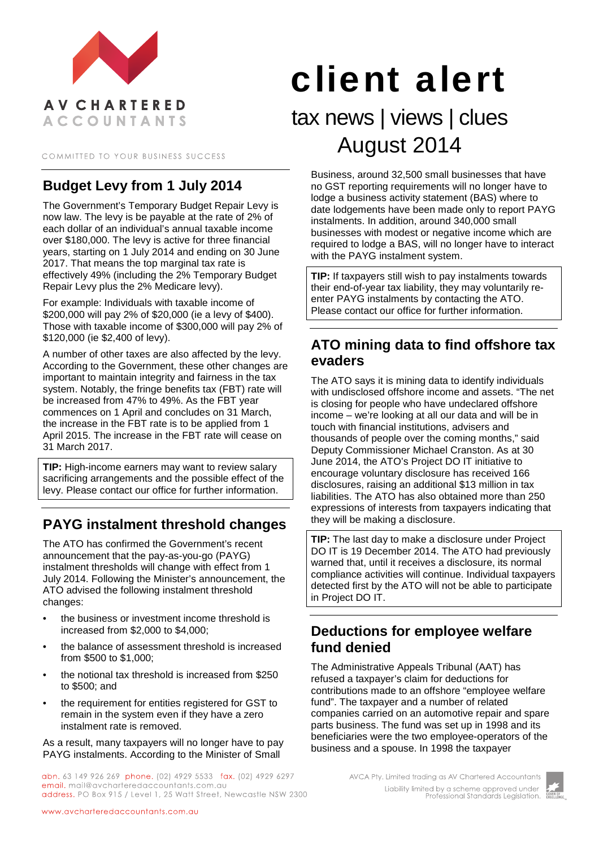

COMMITTED TO YOUR BUSINESS SUCCESS

# **Budget Levy from 1 July 2014**

The Government's Temporary Budget Repair Levy is now law. The levy is be payable at the rate of 2% of each dollar of an individual's annual taxable income over \$180,000. The levy is active for three financial years, starting on 1 July 2014 and ending on 30 June 2017. That means the top marginal tax rate is effectively 49% (including the 2% Temporary Budget Repair Levy plus the 2% Medicare levy).

For example: Individuals with taxable income of \$200,000 will pay 2% of \$20,000 (ie a levy of \$400). Those with taxable income of \$300,000 will pay 2% of \$120,000 (ie \$2,400 of levy).

A number of other taxes are also affected by the levy. According to the Government, these other changes are important to maintain integrity and fairness in the tax system. Notably, the fringe benefits tax (FBT) rate will be increased from 47% to 49%. As the FBT year commences on 1 April and concludes on 31 March, the increase in the FBT rate is to be applied from 1 April 2015. The increase in the FBT rate will cease on 31 March 2017.

**TIP:** High-income earners may want to review salary sacrificing arrangements and the possible effect of the levy. Please contact our office for further information.

# **PAYG instalment threshold changes**

The ATO has confirmed the Government's recent announcement that the pay-as-you-go (PAYG) instalment thresholds will change with effect from 1 July 2014. Following the Minister's announcement, the ATO advised the following instalment threshold changes:

- the business or investment income threshold is increased from \$2,000 to \$4,000;
- the balance of assessment threshold is increased from \$500 to \$1,000;
- the notional tax threshold is increased from \$250 to \$500; and
- the requirement for entities registered for GST to remain in the system even if they have a zero instalment rate is removed.

As a result, many taxpayers will no longer have to pay PAYG instalments. According to the Minister of Small

abn. 63 149 926 269 phone. (02) 4929 5533 fax. (02) 4929 6297 email. mail@avcharteredaccountants.com.au address. PO Box 915 / Level 1, 25 Watt Street, Newcastle NSW 2300

# client alert

# tax news | views | clues August 2014

Business, around 32,500 small businesses that have no GST reporting requirements will no longer have to lodge a business activity statement (BAS) where to date lodgements have been made only to report PAYG instalments. In addition, around 340,000 small businesses with modest or negative income which are required to lodge a BAS, will no longer have to interact with the PAYG instalment system.

**TIP:** If taxpayers still wish to pay instalments towards their end-of-year tax liability, they may voluntarily reenter PAYG instalments by contacting the ATO. Please contact our office for further information.

## **ATO mining data to find offshore tax evaders**

The ATO says it is mining data to identify individuals with undisclosed offshore income and assets. "The net is closing for people who have undeclared offshore income – we're looking at all our data and will be in touch with financial institutions, advisers and thousands of people over the coming months," said Deputy Commissioner Michael Cranston. As at 30 June 2014, the ATO's Project DO IT initiative to encourage voluntary disclosure has received 166 disclosures, raising an additional \$13 million in tax liabilities. The ATO has also obtained more than 250 expressions of interests from taxpayers indicating that they will be making a disclosure.

**TIP:** The last day to make a disclosure under Project DO IT is 19 December 2014. The ATO had previously warned that, until it receives a disclosure, its normal compliance activities will continue. Individual taxpayers detected first by the ATO will not be able to participate in Project DO IT.

#### **Deductions for employee welfare fund denied**

The Administrative Appeals Tribunal (AAT) has refused a taxpayer's claim for deductions for contributions made to an offshore "employee welfare fund". The taxpayer and a number of related companies carried on an automotive repair and spare parts business. The fund was set up in 1998 and its beneficiaries were the two employee-operators of the business and a spouse. In 1998 the taxpayer